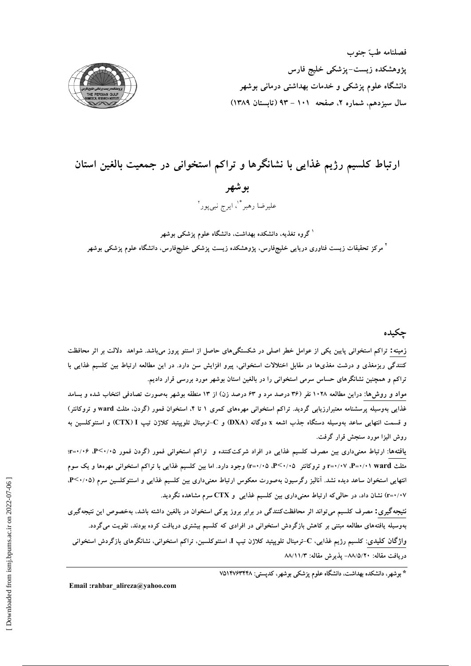فصلنامه طبّ جنوب پژوهشکده زیست–پزشکی خلیج فارس دانشگاه علوم پزشکی و خدمات بهداشتی درمانی بوشهر سال سیزدهم، شماره ۲، صفحه ۱۰۱ - ۹۳ (تابستان ۱۳۸۹)



# ارتباط کلسیم رژیم غذایی با نشانگرها و تراکم استخوانی در جمعیت بالغین استان بو شھر عليرضا رهبر \*'، ايرج نبي يور`

<sup>۱</sup> گروه تغذیه، دانشکده بهداشت، دانشگاه علوم پزشکی بوشهر <sup>۲</sup> مرکز تحقیقات زیست فناوری دریایی خلیجفارس، پژوهشکده زیست پزشکی خلیجفارس، دانشگاه علوم پزشکی بوشهر

# چکیده

زمینه: تراکم استخوانی پایین یکی از عوامل خطر اصلی در شکستگیهای حاصل از استئو پروز میباشد. شواهد دلالت بر اثر محافظت کنندگی ریزمغذی و درشت مغذیها در مقابل اختلالات استخوانی، پیرو افزایش سن دارد. در این مطالعه ارتباط بین کلسیم غذایی با تراکم و همچنین نشانگرهای حساس سرمی استخوانی را در بالغین استان بوشهر مورد بررسی قرار دادیم.

مواد و روش۵ا: دراین مطالعه ۱۰۲۸ نفر (۳۶ درصد مرد و ۶۳ درصد زن) از ۱۳ منطقه بوشهر بهصورت تصادفی انتخاب شده و بسامد غذایی بهوسیله پرسشنامه معتبرارزیابی گردید. تراکم استخوانی مهرههای کمری ۱ تا ۴، استخوان فمور (گردن، مثلث ward و تروکانتر) و قسمت انتهایی ساعد بهوسیله دستگاه جذب اشعه x دوگانه (DXA) و C–ترمینال تلوپیتید کلاژن تیپ CTX) I) و استئوکلسین به روش اليزا مورد سنجش قرار گرفت.

یافتهها: ارتباط معنیداری بین مصرف کلسیم غذایی در افراد شرکتکننده و تراکم استخوانی فمور (گردن فمور P<۰/۰۵، ۲=۰:۰۶؛ مثلث P=۰/۰۱ ward. (۰/۰۷-۳ و تروکانتر P<۰/۰۵، ۲+۰۷) وجود دارد. اما بین کلسیم غذایی با تراکم استخوانی مهرهها و یک سوم انتهایی استخوان ساعد دیده نشد. آنالیز رگرسیون بهصورت معکوس ارتباط معنیداری بین کلسیم غذایی و استئوکلسین سرم (۹٬۰/۰۵. ۰/۰۷=r) نشان داد، در حالی که ارتباط معنیداری بین کلسیم غذایی و CTX سرم مشاهده نگردید.

نتیجهگیری: مصرف کلسیم می تواند اثر محافظتکنندگی در برابر بروز پوکی استخوان در بالغین داشته باشد، بهخصوص این نتیجهگیری بهوسیله یافتههای مطالعه مبتنی بر کاهش بازگردش استخوانی در افرادی که کلسیم بیشتری دریافت کرده بودند، تقویت میگردد. واژگان کلیدی: کلسیم رژیم غذایی، C-ترمینال تلوپپتید کلاژن تیپ I، استئوکلسین، تراکم استخوانی، نشانگرهای بازگردش استخوانی دريافت مقاله: ٨٨/٥/٢٠- پذيرش مقاله: ٨٨/١١/٣

\* بوشهر، دانشکده بهداشت، دانشگاه علوم پزشکی بوشهر، کدیستی: ۷۵۱۴۷۶۳۴۸

Email:rahbar alireza@yahoo.com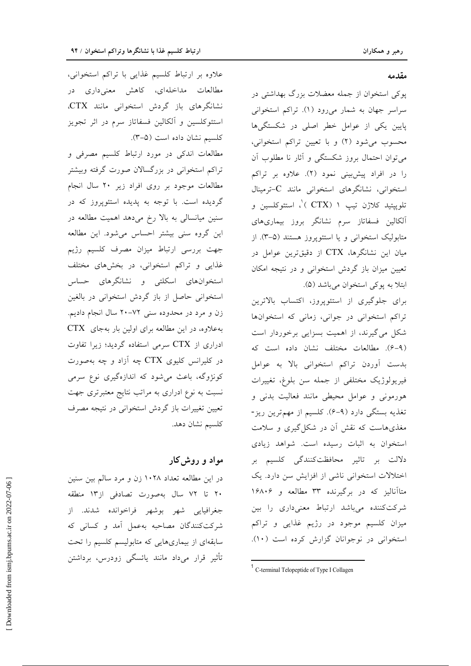## مقدمه

یوکی استخوان از جمله معضلات بزرگ بهداشتی در سراسر جهان به شمار میرود (۱). تراکم استخوانی پایین یکی از عوامل خطر اصلی در شکستگیها محسوب می شود (۲) و با تعیین تراکم استخوانی، می توان احتمال بروز شکستگی و آثار نا مطلوب آن را در افراد پیش بینی نمود (۲). علاوه بر تراکم استخوانی، نشانگرهای استخوانی مانند C-ترمینال تلويپتيد كلاژن تيپ ۱ (CTX )'، استئوكلسين و آلکالین فسفاتاز سرم نشانگر بروز بیماریهای متابولیک استخوانی و یا استئوپروز هستند (۵-۳). از میان این نشانگرها، CTX از دقیقترین عوامل در تعیین میزان باز گردش استخوانی و در نتیجه امکان ابتلا به پوکی استخوان میباشد (۵).

برای جلوگیری از استئوپروز، اکتساب بالاترین تراکم استخوانی در جوانی، زمانی که استخوانها شکل می گیرند، از اهمیت بسزایی برخوردار است (۶-۹). مطالعات مختلف نشان داده است که بدست أوردن تراكم استخوانى بالا به عوامل فيريولوژيک مختلفى از جمله سن بلوغ، تغييرات هورمونی و عوامل محیطی مانند فعالیت بدنی و تغذیه بستگی دارد (۹–۶). کلسیم از مهمترین ریز-مغذیهاست که نقش آن در شکل گیری و سلامت استخوان به اثبات رسیده است. شواهد زیادی دلالت بر تاثیر محافظتکنندگی کلسیم بر اختلالات استخوانی ناشی از افزایش سن دارد. یک متاأنالیز که در برگیرنده ۳۳ مطالعه و ۱۶۸۰۶ شرکتکننده میباشد ارتباط معنیداری را بین میزان کلسیم موجود در رژیم غذایی و تراکم استخوانی در نوجوانان گزارش کرده است (١٠).

علاوه بر ارتباط کلسیم غذایی با تراکم استخوانی، مطالعات مداخلهای، کاهش معنیداری در نشانگرهای باز گردش استخوانی مانند CTX. استئوکلسین و آلکالین فسفاتاز سرم در اثر تجویز كلسيم نشان داده است (٣-٥).

مطالعات اندکی در مورد ارتباط کلسیم مصرفی و تراکم استخوانی در بزرگسالان صورت گرفته وبیشتر مطالعات موجود بر روی افراد زیر ۲۰ سال انجام گردیده است. با توجه به پدیده استئوپروز که در سنین میانسالی به بالا رخ میدهد اهمیت مطالعه در این گروه سنی بیشتر احساس می شود. این مطالعه جهت بررسى ارتباط ميزان مصرف كلسيم رژيم غذایی و تراکم استخوانی، در بخشهای مختلف استخوانهای اسکلتی و نشانگرهای حساس استخوانی حاصل از باز گردش استخوانی در بالغین زن و مرد در محدوده سنی ۷۲–۲۰ سال انجام دادیم. به علاوه، در این مطالعه برای اولین بار به جای CTX ادراری از CTX سرمی استفاده گردید؛ زیرا تفاوت در کلیرانس کلیوی CTX چه آزاد و چه بهصورت کونژوگه، باعث میشود که اندازهگیری نوع سرمی نسبت به نوع ادراری به مراتب نتایج معتبرتری جهت تعیین تغییرات باز گردش استخوانی در نتیجه مصرف كلسيم نشان دهد.

## مواد و روش کار

در این مطالعه تعداد ۱۰۲۸ زن و مرد سالم بین سنین ۲۰ تا ۷۲ سال بهصورت تصادفی از۱۳ منطقه جغرافيايي شهر بوشهر فراخوانده شدند. از شركت كنندگان مصاحبه به عمل آمد و كسانى كه سابقهای از بیماریهایی که متابولیسم کلسیم را تحت تأثیر قرار میداد مانند پائسگی زودرس، برداشتن

<sup>&</sup>lt;sup>1</sup> C-terminal Telopeptide of Type I Collagen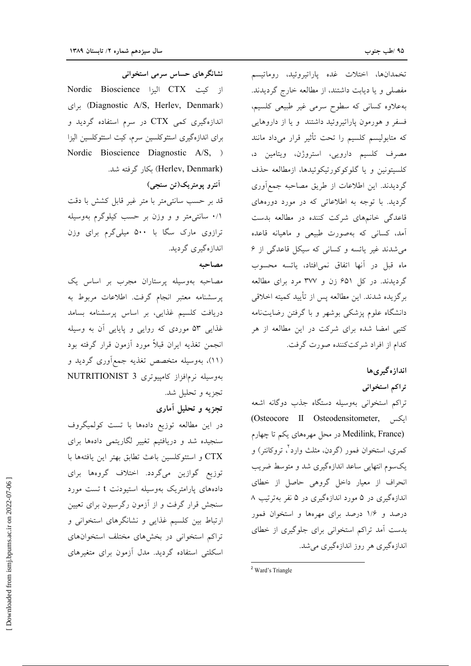نشانگرهای حساس سرمی استخوانی از كيت CTX اليزا Nordic Bioscience (Diagnostic A/S, Herlev, Denmark) براى اندازهگیری کمی CTX در سرم استفاده گردید و برای اندازهگیری استئوکلسین سرم، کیت استئوکلسین الیزا Nordic Bioscience Diagnostic A/S, ) (Herlev, Denmark) بكار گرفته شد.

آنترو پومتريک(تن سنجي) قد بر حسب سانتی متر با متر غیر قابل کشش با دقت ۰/۱ سانتی متر و و وزن بر حسب کیلوگرم بهوسیله ترازوی مارک سگا با ۵۰۰ میلیگرم برای وزن اندازهگیری گردید.

#### مصاحبه

مصاحبه بهوسیله پرستاران مجرب بر اساس یک پرسشنامه معتبر انجام گرفت. اطلاعات مربوط به دریافت کلسیم غذای<sub>م</sub>، بر اساس پرسشنامه بسامد غذایی ۵۳ موردی که روایی و پایایی آن به وسیله انجمن تغذيه ايران قبلاً مورد أزمون قرار گرفته بود (۱۱)، بەوسیلە متخصص تغذیه جمع|َوری گردید و بەوسىلە نرمافزاز كامپيوترى NUTRITIONIST 3 تجزيه و تحليل شد.

# تجزیه و تحلیل آماری

در این مطالعه توزیع دادهها با تست کولمیگروف سنجیده شد و دریافتیم تغییر لگاریتمی دادهها برای .<br>CTX و استئوكلسين باعث تطابق بهتر اين يافتهها با توزیع گوازین میگردد. اختلاف گروهها برای دادههای پارامتریک بهوسیله استیودنت t تست مورد سنجش قرار گرفت و از آزمون رگرسیون برای تعیین ارتباط بین کلسیم غذایی و نشانگرهای استخوانی و تراکم استخوانی در بخشهای مختلف استخوانهای اسکلتی استفاده گردید. مدل آزمون برای متغیرهای

تخمدانها، اختلات غده پاراتيروئيد، روماتيسم مفصلی و یا دیابت داشتند، از مطالعه خارج گردیدند. بهعلاوه کسانی که سطوح سرمی غیر طبیعی کلسیم، فسفر و هورمون پاراتیروئید داشتند و یا از داروهایی که متابولیسم کلسیم را تحت تأثیر قرار میداد مانند مصرف کلسیم دارویی، استروژن، ویتامین د، كلسيتونين و يا گلوكوكورتيكوئيدها، ازمطالعه حذف گردیدند. این اطلاعات از طریق مصاحبه جمع آوری گردید. با توجه به اطلاعاتی که در مورد دورههای قاعدگی خانمهای شرکت کننده در مطالعه بدست آمد، کسان<sub>ی</sub> که بهصورت طبیعی و ماهیانه قاعده می شدند غیر یائسه و کسانی که سیکل قاعدگی از ۶ ماه قبل در آنها اتفاق نمی|فتاد، پائسه محسوب گردیدند. در کل ۶۵۱ زن و ۳۷۷ مرد برای مطالعه برگزيده شدند. اين مطالعه پس از تأييد كميته اخلاقي دانشگاه علوم پزشکی بوشهر و با گرفتن رضایتنامه کتبی امضا شده برای شرکت در این مطالعه از هر كدام از افراد شركتكننده صورت گرفت.

انداز ه گیری ها

تراكم استخواني

تراكم استخواني بهوسيله دستگاه جذب دوگانه اشعه (Osteocore II Osteodensitometer, ایکس (Medilink, France در محل مهرههای یکم تا چهارم کمری، استخوان فمور (گردن، مثلث وارد ٌ، تروکانتر) و یکسوم انتهایی ساعد اندازهگیری شد و متوسط ضریب انحراف از معیار داخل گروهی حاصل از خطای اندازهگیری در ۵ مورد اندازهگیری در ۵ نفر بهترتیب ۸ درصد و ۱/۶ درصد برای مهرهها و استخوان فمور بدست آمد تراکم استخوانی برای جلوگیری از خطای اندازهگیری هر روز اندازهگیری می شد.

<sup>&</sup>lt;sup>2</sup> Ward's Triangle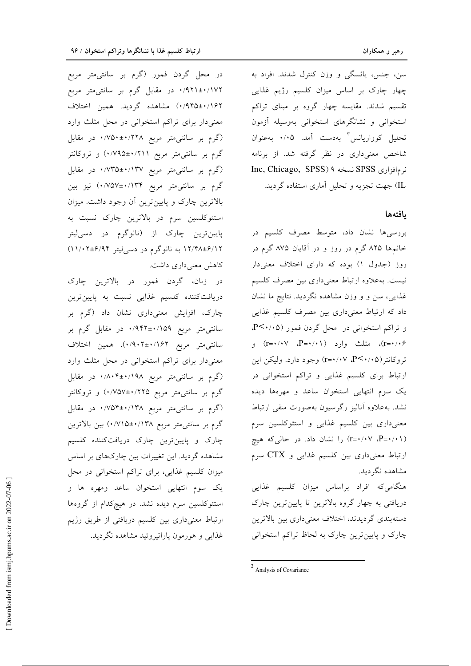در محل گردن فمور (گرم بر سانتیءمتر مربع ۰/۹۲۱±۰/۱۷۲ در مقابل گرم بر سانتی¤شر مربع ۰/۹۴۵±۰/۱۶۲) مشاهده گردید. همین اختلاف معنیدار برای تراکم استخوانی در محل مثلث وارد (گرم بر سانتی متر مربع ۲۲۸×۰±۷۵۰+ در مقابل گرم بر سانتی¤تر مربع ۰/۲۱۱+۰/۷۹۵) و تروکانتر (گرم بر سانتی متر مربع ۰/۷۳۵±۰/۱۳۷ در مقابل گرم بر سانتی0متر مربع ۰/۱۳۴+۰/۷۵۷) نیز بین بالاترین چارک و پایینترین آن وجود داشت. میزان استئوکلسین سرم در بالاترین چارک نسبت به پایینترین چارک از (نانوگرم در دس<sub>ی</sub>لیتر ۱۲/۴۸±۶/۱۲ به نانوگرم در دسیلیتر ۶/۹۴±۶/۱۱/۰۲ کاهش معنی داری داشت.

در زنان، گردن فمور در بالاترین چارک دریافتکننده کلسیم غذایی نسبت به پایینترین چارک، افزایش معنیداری نشان داد (گرم بر سانتی متر مربع ۱۵۹/۰:±۹۴۲+۰ در مقابل گرم بر سانتي متر مربع ١/٩٠٢±٠/٩٠٢). همين اختلاف معنیدار برای تراکم استخوانی در محل مثلث وارد (گرم بر سانتی متر مربع ۱۹۸/۰۴±۰/۸۰۴ در مقابل گرم بر سانتی متر مربع ۰/۷۵۷±۰/۷۵۷) و تروکانتر (گرم بر سانتی متر مربع ۱۳۸/۰±۷۵۴+۰/۷۵۴ در مقابل گرم بر سانت<sub>ی</sub>متر مربع ۱۳۸/•±۰/۷۱۵) بین بالاترین چارک و پایینترین چارک دریافتکننده کلسیم مشاهده گردید. این تغییرات بین چارکهای بر اساس میزان کلسیم غذایی، برای تراکم استخوانی در محل یک سوم انتهایی استخوان ساعد ومهره ها و استئوکلسین سرم دیده نشد. در هیچکدام از گروهها ارتباط معنیداری بین کلسیم دریافتی از طریق رژیم غذایی و هورمون پاراتیروئید مشاهده نگردید.

سن، جنس، پائسگی و وزن کنترل شدند. افراد به چهار چارک بر اساس میزان کلسیم رژیم غذایی تقسیم شدند. مقایسه چهار گروه بر مبنای تراکم استخوانی و نشانگرهای استخوانی بهوسیله آزمون تحلیل کوواریانس بهدست آمد. ۰/۰۵ بهعنوان شاخص معنیداری در نظر گرفته شد. از برنامه Inc, Chicago, SPSS) ۹ نسخه ۹ (SPSS) انه مافزاری IL) جهت تجزیه و تحلیل آماری استفاده گردید.

## بافتهها

بررسیها نشان داد، متوسط مصرف کلسیم در خانمها ۸۲۵ گرم در روز و در آقایان ۸۷۵ گرم در روز (جدول ۱) بوده که دارای اختلاف معنیدار نیست. بهعلاوه ارتباط معنی<mark>داری بین مصرف کلسیم</mark> غذایی، سن و و وزن مشاهده نگردید. نتایج ما نشان داد که ارتباط معنیداری بین مصرف کلسیم غذایی و تراکم استخوانی در محل گردن فمور (P<۰/۰۵). r=۰/۰۷ (r=۰/۰۷) مثلث وارد (r=۰/۰۷) و تروكانتر(P<۰/۰۵، ۲=۰/۰۷) وجود دارد. وليكن اين ارتباط برای کلسیم غذایی و تراکم استخوانی در یک سوم انتهایی استخوان ساعد و مهرهها دیده نشد. به علاوه آنالیز رگرسیون به صورت منفی ارتباط معنیداری بین کلسیم غذایی و استئوکلسین سرم (۱-۰/۰۷ -P) را نشان داد. در حالی که هیچ ارتباط معنیداری بین کلسیم غذایی و CTX سرم مشاهده نگردید.

هنگامیکه افراد براساس میزان کلسیم غذایی دریافتی به چهار گروه بالاترین تا پایینترین چارک دستهبندي گرديدند، اختلاف معنىداري بين بالاترين چارک و پایینترین چارک به لحاظ تراکم استخوانی

<sup>&</sup>lt;sup>3</sup> Analysis of Covariance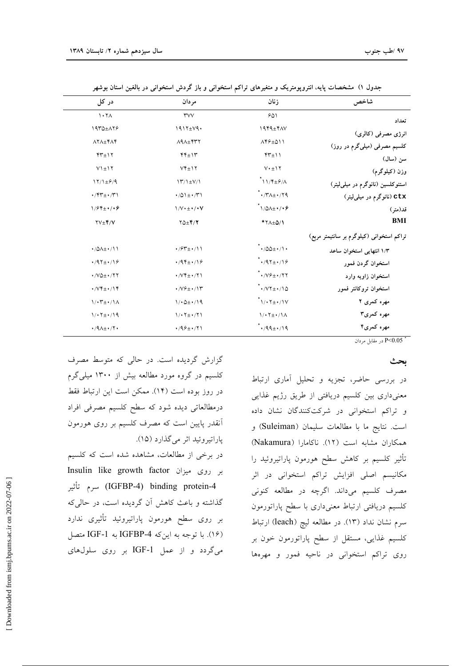| شاخص                                      | زنان                                                                                 | مردان                                         | در کل                                     |
|-------------------------------------------|--------------------------------------------------------------------------------------|-----------------------------------------------|-------------------------------------------|
| تعداد                                     | 901                                                                                  | <b>TVV</b>                                    | $\lambda \cdot \lambda$                   |
| انرژی مصرفی (کالری)                       | $1949\pm70V$                                                                         | $1917 \pm V9$                                 | 1970±179                                  |
| کلسیم مصرفی (میلیگرم در روز)              | $\Lambda$ ۴۶ $\pm$ ۵۱۱                                                               | $\Lambda$ 9 $\Lambda$ $\pm$ ۴۳۲               | $\Lambda$ Y $\Lambda$ $\pm$ Y $\Lambda$ Y |
| سن (سال)                                  | $YY\pm 11$                                                                           | $44 + 14$                                     | $YY\pm Y$                                 |
| وزن (کیلوگرم)                             | $V \cdot \pm 17$                                                                     | $VY \pm Y$                                    | $V$ \ $\pm$ \ $\Upsilon$                  |
| استئوکلسین (نانوگرم در میلمیلیتر)         | $\gamma$ //۴ $\pm$ ۶/۸                                                               | $\Upsilon/\Upsilon/\pm V/\Upsilon$            | $17/1 \pm 9/9$                            |
| ctx (نانوگرم در میل <sub>ی</sub> لیتر)    | $\cdot$ / $\gamma$ / $\gamma$ / $\gamma$ / $\gamma$ / $\gamma$ / $\gamma$ / $\gamma$ | $\cdot/\Delta$ \ $\pm \cdot/\Upsilon$ \       | $\cdot$ /۴۳ $\pm$ $\cdot$ /۳۱             |
| قد(متر)                                   | $\gamma$ 1/01+ $\gamma$                                                              | $1/V \cdot \pm \cdot / \cdot V$               | $1/94 \pm 1/19$                           |
| BMI                                       | * Y A ± 0/1                                                                          | $Y\Delta \pm Y/Y$                             | $YV \pm Y/V$                              |
| تراکم استخوانی (کیلوگرم بر سانتیمتر مربع) |                                                                                      |                                               |                                           |
| ١/٣ انتهایی استخوان ساعد                  | $\cdot$ /00± $\cdot$ /\ $\cdot$                                                      | $\cdot$ / $\times$ r $\pm$ $\cdot$ / $\wedge$ | $\cdot$ /0 $\lambda$ ± $\cdot$ /11        |
| استخوان گردن فمور                         | $\cdot$ /97± $\cdot$ /18                                                             | $\cdot$ /94 $\pm \cdot$ /18                   | $.797 \pm .799$                           |
| استخوان زاويه وارد                        | $\cdot$ / $V$ ۶ $\pm$ $\cdot$ /۲۲                                                    | $\cdot$ / $Vf \pm \cdot$ / $\uparrow$ \       | $\cdot$ /VQ $\pm$ $\cdot$ /۲۲             |
| استخوان تروكانتر فمور                     | $\cdot$ / $\cdot$ / $\cdot$ / $\circ$                                                | $\cdot$ / $V$ $\div$ $\cdot$ / $V$            | $\cdot$ / $Vf \pm \cdot$ / $Vf$           |
| مهره کمری ۲                               | $\gamma$                                                                             | $1/0.2 + 1/19$                                | $1/\cdot \Upsilon_{\pm} \cdot / 1 \wedge$ |
| مهره کمری۳                                | $1/1$ $7 + 1/1$                                                                      | $1/17 \pm 1/71$                               | $1/17 \pm 1/19$                           |
| مهره کمری۴                                | $^{\star}$ + /99 $\pm$ + /19                                                         | $4/99 \pm 1/71$                               | $\cdot$ /9 $\Lambda$ ± $\cdot$ /٢ $\cdot$ |
|                                           |                                                                                      |                                               |                                           |

جدول ۱) مشخصات پایه، انتروپومتریک و متغیرهای تراکم استخوانی و باز گردش استخوانی در بالغین استان بوشهر

\* P<0.05 در مقابل مردان

## بحث

در بررسی حاضر، تجزیه و تحلیل آماری ارتباط معنیداری بین کلسیم دریافتی از طریق رژیم غذایی و تراکم استخوانی در شرکتکنندگان نشان داده است. نتايج ما با مطالعات سليمان (Suleiman) و همكاران مشابه است (١٢). ناكامارا (Nakamura) تأثیر کلسیم بر کاهش سطح هورمون پاراتیروئید را مکانیسم اصلی افزایش تراکم استخوانی در اثر مصرف کلسیم میداند. اگرچه در مطالعه کنونی كلسيم دريافتي ارتباط معنىدارى با سطح پاراتورمون سرم نشان نداد (۱۳). در مطالعه ليچ (leach) ارتباط كلسيم غذايي، مستقل از سطح پاراتورمون خون بر روی تراکم استخوانی در ناحیه فمور و مهرهها

گزارش گردیده است. در حالی که متوسط مصرف کلسیم در گروه مورد مطالعه بیش از ۱۳۰۰ میلی گرم در روز بوده است (۱۴). ممكن است اين ارتباط فقط درمطالعاتی دیده شود که سطح کلسیم مصرفی افراد آنقدر پایین است که مصرف کلسیم بر روی هورمون ياراتيروئيد اثر مي گذارد (١٥).

در برخی از مطالعات، مشاهده شده است که کلسیم Insulin like growth factor بر روی میزان IGFBP-4) binding protein-4) سرم تأثير گذاشته و باعث کاهش آن گردیده است، در حالی که بر روی سطح هورمون پاراتیروئید تأثیری ندارد (١۶). با توجه به اینکه IGFBP-4 به IGF-1 متصل می گردد و از عمل IGF-1 بر روی سلولهای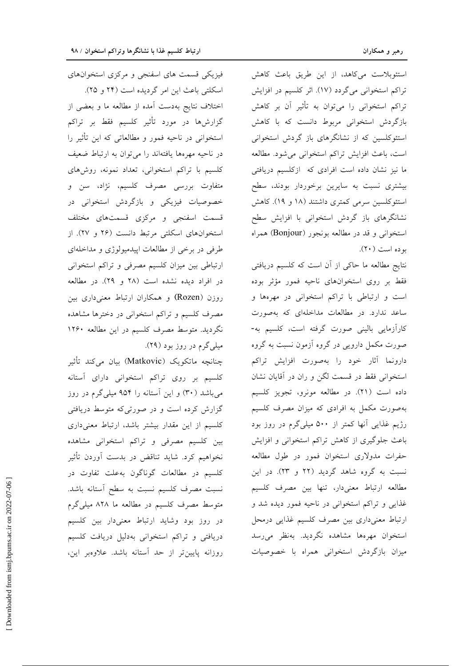اختلاف نتايج بهدست آمده از مطالعه ما و بعضى از گزارشها در مورد تأثیر کلسیم فقط بر تراکم استخوانی در ناحیه فمور و مطالعاتی که این تأثیر را در ناحیه مهرهها یافتهاند را میتوان به ارتباط ضعیف كلسيم با تراكم استخواني، تعداد نمونه، روشهاى متفاوت بررسی مصرف کلسیم، نژاد، سن و خصوصیات فیزیکی و بازگردش استخوانی در قسمت اسفنجي و مركزي قسمتهاي مختلف استخوانهای اسکلتی مرتبط دانست (۲۶ و ۲۷). از طرفی در برخی از مطالعات اپیدمیولوژی و مداخلهای ارتباطی بین میزان کلسیم مصرفی و تراکم استخوانی در افراد دیده نشده است (۲۸ و ۲۹). در مطالعه روزن (Rozen) و همکاران ارتباط معنیداری بین مصرف کلسیم و تراکم استخوانی در دخترها مشاهده نگردید. متوسط مصرف کلسیم در این مطالعه ۱۲۶۰ میلی گرم در روز بود (۲۹).

چنانچه ماتکویک (Matkovic) بیان میکند تأثیر کلسیم بر روی تراکم استخوانی دارای آستانه می باشد (۳۰) و این آستانه را ۹۵۴ میلی گرم در روز گزارش کرده است و در صورتیکه متوسط دریافتی کلسیم از این مقدار بیشتر باشد، ارتباط معنیداری بین کلسیم مصرفی و تراکم استخوانی مشاهده نخواهیم کرد. شاید تناقض در بدست آوردن تأثیر كلسيم در مطالعات گوناگون به علت تفاوت در نسبت مصرف كلسيم نسبت به سطح أستانه باشد. متوسط مصرف کلسیم در مطالعه ما ۸۲۸ میلیگرم در روز بود وشاید ارتباط معنیدار بین کلسیم دریافتی و تراکم استخوانی بهدلیل دریافت کلسیم روزانه پایینتر از حد آستانه باشد. علاوهبر این،

استئوبلاست می کاهد، از این طریق باعث کاهش تراكم استخواني مي گردد (١٧). اثر كلسيم در افزايش تراکم استخوانی را می توان به تأثیر آن بر کاهش بازگردش استخوانی مربوط دانست که با کاهش استئوکلسین که از نشانگرهای باز گردش استخوانی است، باعث افزایش تراکم استخوانی می شود. مطالعه ما نیز نشان داده است افرادی که ازکلسیم دریافتی بیشتری نسبت به سایرین برخوردار بودند، سطح استئوكلسين سرمي كمترى داشتند (١٨ و ١٩). كاهش نشانگرهای باز گردش استخوانی با افزایش سطح استخوانی و قد در مطالعه بونجور (Bonjour) همراه بو ده است (٢٠).

نتایج مطالعه ما حاکی از آن است که کلسیم دریافتی فقط بر روى استخوانهاى ناحيه فمور مؤثر بوده است و ارتباطی با تراکم استخوانی در مهرهها و ساعد ندارد. در مطالعات مداخلهای که بهصورت کارآزمایی بالینی صورت گرفته است، کلسیم به-صورت مکمل دارویی در گروه آزمون نسبت به گروه دارونما آثار خود را بهصورت افزايش تراكم استخوانی فقط در قسمت لگن و ران در آقایان نشان داده است (٢١). در مطالعه مونرو، تجويز كلسيم بهصورت مکمل به افرادی که میزان مصرف کلسیم رژیم غذایی آنها کمتر از ۵۰۰ میلیگرم در روز بود باعث جلوگیری از کاهش تراکم استخوانی و افزایش حفرات مدولاري استخوان فمور در طول مطالعه نسبت به گروه شاهد گردید (٢٢ و ٢٣). در این مطالعه ارتباط معنىدار، تنها بين مصرف كلسيم غذایی و تراکم استخوانی در ناحیه فمور دیده شد و ارتباط معنىدارى بين مصرف كلسيم غذايى درمحل استخوان مهرهها مشاهده نگردید. بهنظر میرسد میزان بازگردش استخوانی همراه با خصوصیات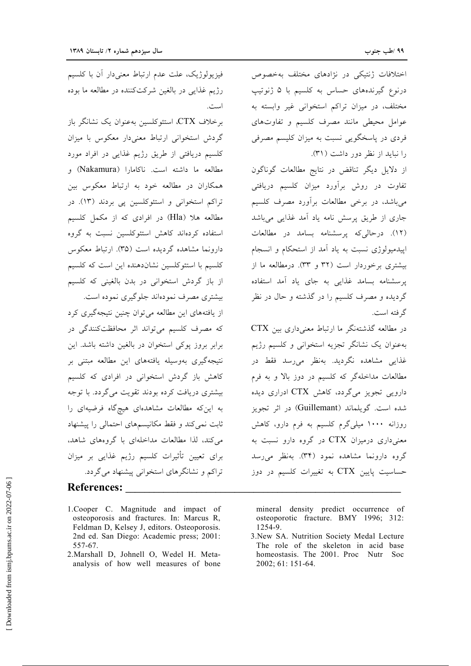اختلافات ژنتیکی در نژادهای مختلف بهخصوص درنوع گیرندههای حساس به کلسیم با ۵ ژنوتیپ مختلف، در میزان تراکم استخوانی غیر وابسته به عوامل محیطی مانند مصرف کلسیم و تفاوتهای فردی در پاسخگویی نسبت به میزان کلیسم مصرفی را نباید از نظر دور داشت (۳۱).

از دلایل دیگر تناقض در نتایج مطالعات گوناگون تفاوت در روش برآورد میزان کلسیم دریافتی میباشد، در برخی مطالعات برآورد مصرف کلسیم جاری از طریق پرسش نامه یاد آمد غذایی میباشد (۱۲). درحالی که پرسشنامه بسامد در مطالعات اپیدمیولوژی نسبت به یاد آمد از استحکام و انسجام بیشتری برخوردار است (۳۲ و ۳۳). درمطالعه ما از یرسشنامه بسامد غذایی به جای یاد آمد استفاده گردیده و مصرف کلسیم را در گذشته و حال در نظر گر فته است.

در مطالعه گذشتهنگر ما ارتباط معنی داری بین CTX بهعنوان يک نشانگر تجزيه استخواني و کلسيم رژيم غذایی مشاهده نگردید. بهنظر میرسد فقط در مطالعات مداخلهگر که کلسیم در دوز بالا و به فرم دارویی تجویز میگردد، کاهش CTX ادراری دیده شده است. گویلماند (Guillemant) در اثر تجویز روزانه ۱۰۰۰ میلیگرم کلسیم به فرم دارو، کاهش معنیداری درمیزان CTX در گروه دارو نسبت به گروه دارونما مشاهده نمود (۳۴). بهنظر میرسد حساسیت پایین CTX به تغییرات کلسیم در دوز

است.

فيزيولوژيک، علت عدم ارتباط معنىدار آن با كلسيم رژيم غذايي در بالغين شركتكننده در مطالعه ما بوده

برخلاف CTX، استئوكلسين بهعنوان يك نشانگر باز گردش استخوانی ارتباط معنی دار معکوس با میزان کلسیم دریافتی از طریق رژیم غذایی در افراد مورد مطالعه ما داشته است. ناكامارا (Nakamura) و همکاران در مطالعه خود به ارتباط معکوس بین تراکم استخوانی و استئوکلسین پی بردند (١٣). در مطالعه هلا (Hla) در افرادي كه از مكمل كلسيم استفاده کردهاند کاهش استئوکلسین نسبت به گروه دارونما مشاهده گردیده است (۳۵). ارتباط معکوس کلسیم با استئوکلسین نشاندهنده این است که کلسیم از باز گردش استخوانی در بدن بالغینی که کلسیم بیشتری مصرف نمودهاند جلوگیری نموده است.

از یافتههای این مطالعه می توان چنین نتیجهگیری کرد که مصرف کلسیم می تواند اثر محافظتکنندگی در برابر بروز پوکی استخوان در بالغین داشته باشد. این نتیجهگیری بهوسیله یافتههای این مطالعه مبتنی بر کاهش باز گردش استخوانی در افرادی که کلسیم بیشتری دریافت کرده بودند تقویت می گردد. با توجه به این که مطالعات مشاهدهای هیچگاه فرضیهای را ثابت نمی کند و فقط مکانیسمهای احتمالی را پیشنهاد می کند، لذا مطالعات مداخلهای با گروههای شاهد، برای تعیین تأثیرات کلسیم رژیم غذایی بر میزان تراکم و نشانگرهای استخوانی پیشنهاد می گردد.

## References:

- 1. Cooper C. Magnitude and impact of osteoporosis and fractures. In: Marcus R, Feldman D, Kelsey J, editors. Osteoporosis. 2nd ed. San Diego: Academic press; 2001: 557-67.
- 2. Marshall D, Johnell O, Wedel H. Metaanalysis of how well measures of bone

mineral density predict occurrence of osteoporotic fracture. BMY 1996; 312: 1254-9.

3. New SA. Nutrition Society Medal Lecture The role of the skeleton in acid base homeostasis. The 2001. Proc Nutr Soc 2002; 61: 151-64.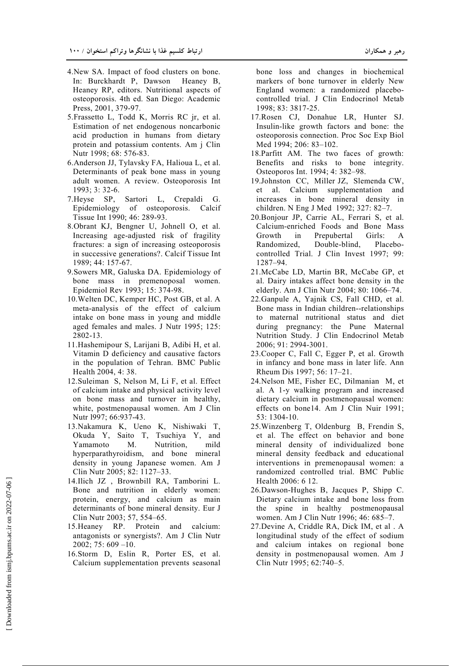- 4.New SA. Impact of food clusters on bone. In: Burckhardt P, Dawson Heaney B, Heaney RP, editors. Nutritional aspects of osteoporosis. 4th ed. San Diego: Academic Press, 2001, 379-97.
- 5.Frassetto L, Todd K, Morris RC jr, et al. Estimation of net endogenous noncarbonic acid production in humans from dietary protein and potassium contents. Am j Clin Nutr 1998; 68: 576-83.
- 6.Anderson JJ, Tylavsky FA, Halioua L, et al. Determinants of peak bone mass in young adult women. A review. Osteoporosis Int 1993; 3: 32-6.
- 7.Heyse SP, Sartori L, Crepaldi G. Epidemiology of osteoporosis. Calcif Tissue Int 1990; 46: 289-93.
- 8.Obrant KJ, Bengner U, Johnell O, et al. Increasing age-adjusted risk of fragility fractures: a sign of increasing osteoporosis in successive generations?. Calcif Tissue Int 1989; 44: 157-67.
- 9.Sowers MR, Galuska DA. Epidemiology of bone mass in premenoposal women. Epidemiol Rev 1993; 15: 374-98.
- 10.Welten DC, Kemper HC, Post GB, et al. A meta-analysis of the effect of calcium intake on bone mass in young and middle aged females and males. J Nutr 1995; 125: 2802-13.
- 11.Hashemipour S, Larijani B, Adibi H, et al. Vitamin D deficiency and causative factors in the population of Tehran. BMC Public Health 2004, 4: 38.
- 12.Suleiman S, Nelson M, Li F, et al. Effect of calcium intake and physical activity level on bone mass and turnover in healthy, white, postmenopausal women. Am J Clin Nutr l997; 66:937-43.
- 13.Nakamura K, Ueno K, Nishiwaki T, Okuda Y, Saito T, Tsuchiya Y, and Yamamoto M. Nutrition, mild hyperparathyroidism, and bone mineral density in young Japanese women. Am J Clin Nutr 2005; 82: 1127–33.
- 14.Ilich JZ , Brownbill RA, Tamborini L. Bone and nutrition in elderly women: protein, energy, and calcium as main determinants of bone mineral density. Eur J Clin Nutr 2003; 57, 554–65.
- 15.Heaney RP. Protein and calcium: antagonists or synergists?. Am J Clin Nutr 2002; 75: 609 –10.
- 16.Storm D, Eslin R, Porter ES, et al. Calcium supplementation prevents seasonal

bone loss and changes in biochemical markers of bone turnover in elderly New England women: a randomized placebocontrolled trial. J Clin Endocrinol Metab 1998; 83: 3817-25.

- 17.Rosen CJ, Donahue LR, Hunter SJ. Insulin-like growth factors and bone: the osteoporosis connection. Proc Soc Exp Biol Med 1994; 206: 83–102.
- 18.Parfitt AM. The two faces of growth: Benefits and risks to bone integrity. Osteoporos Int. 1994; 4: 382–98.
- 19.Johnston CC, Miller JZ, Slemenda CW, et al. Calcium supplementation and increases in bone mineral density in children. N Eng J Med 1992; 327: 82–7.
- 20.Bonjour JP, Carrie AL, Ferrari S, et al. Calcium-enriched Foods and Bone Mass Growth in Prepubertal Girls: A Randomized, Double-blind, Placebocontrolled Trial. J Clin Invest 1997; 99: 1287–94.
- 21.McCabe LD, Martin BR, McCabe GP, et al. Dairy intakes affect bone density in the elderly. Am J Clin Nutr 2004; 80: 1066–74.
- 22.Ganpule A, Yajnik CS, Fall CHD, et al. Bone mass in Indian children--relationships to maternal nutritional status and diet during pregnancy: the Pune Maternal Nutrition Study. J Clin Endocrinol Metab 2006; 91: 2994-3001.
- 23.Cooper C, Fall C, Egger P, et al. Growth in infancy and bone mass in later life. Ann Rheum Dis 1997; 56: 17–21.
- 24.Nelson ME, Fisher EC, Dilmanian M, et al. A 1-y walking program and increased dietary calcium in postmenopausal women: effects on bone14. Am J Clin Nuir 1991; 53: 1304-10.
- 25.Winzenberg T, Oldenburg B, Frendin S, et al. The effect on behavior and bone mineral density of individualized bone mineral density feedback and educational interventions in premenopausal women: a randomized controlled trial. BMC Public Health 2006: 6 12.
- 26.Dawson-Hughes B, Jacques P, Shipp C. Dietary calcium intake and bone loss from the spine in healthy postmenopausal women. Am J Clin Nutr 1996; 46: 685–7.
- 27.Devine A, Criddle RA, Dick IM, et al . A longitudinal study of the effect of sodium and calcium intakes on regional bone density in postmenopausal women. Am J Clin Nutr 1995; 62:740–5.